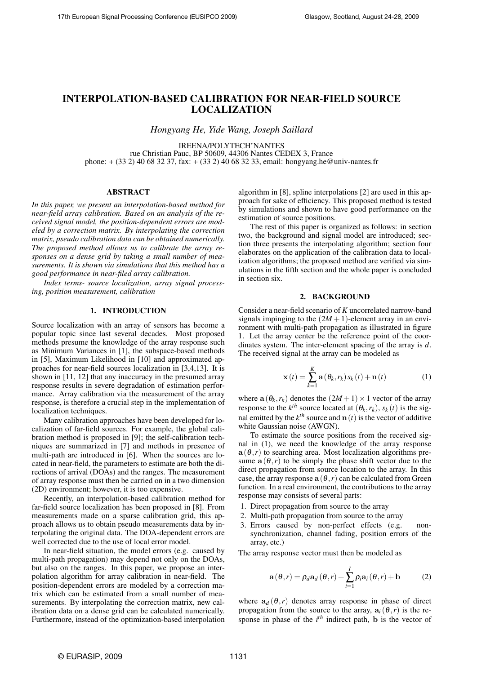# INTERPOLATION-BASED CALIBRATION FOR NEAR-FIELD SOURCE LOCALIZATION

*Hongyang He, Yide Wang, Joseph Saillard*

IREENA/POLYTECH'NANTES rue Christian Pauc, BP 50609, 44306 Nantes CEDEX 3, France phone: + (33 2) 40 68 32 37, fax: + (33 2) 40 68 32 33, email: hongyang.he@univ-nantes.fr

#### ABSTRACT

*In this paper, we present an interpolation-based method for near-field array calibration. Based on an analysis of the received signal model, the position-dependent errors are modeled by a correction matrix. By interpolating the correction matrix, pseudo calibration data can be obtained numerically. The proposed method allows us to calibrate the array responses on a dense grid by taking a small number of measurements. It is shown via simulations that this method has a good performance in near-filed array calibration.*

*Index terms- source localization, array signal processing, position measurement, calibration*

# 1. INTRODUCTION

Source localization with an array of sensors has become a popular topic since last several decades. Most proposed methods presume the knowledge of the array response such as Minimum Variances in [1], the subspace-based methods in [5], Maximum Likelihood in [10] and approximated approaches for near-field sources localization in [3,4,13]. It is shown in [11, 12] that any inaccuracy in the presumed array response results in severe degradation of estimation performance. Array calibration via the measurement of the array response, is therefore a crucial step in the implementation of localization techniques.

Many calibration approaches have been developed for localization of far-field sources. For example, the global calibration method is proposed in [9]; the self-calibration techniques are summarized in [7] and methods in presence of multi-path are introduced in [6]. When the sources are located in near-field, the parameters to estimate are both the directions of arrival (DOAs) and the ranges. The measurement of array response must then be carried on in a two dimension (2D) environment; however, it is too expensive.

Recently, an interpolation-based calibration method for far-field source localization has been proposed in [8]. From measurements made on a sparse calibration grid, this approach allows us to obtain pseudo measurements data by interpolating the original data. The DOA-dependent errors are well corrected due to the use of local error model.

In near-field situation, the model errors (e.g. caused by multi-path propagation) may depend not only on the DOAs, but also on the ranges. In this paper, we propose an interpolation algorithm for array calibration in near-field. The position-dependent errors are modeled by a correction matrix which can be estimated from a small number of measurements. By interpolating the correction matrix, new calibration data on a dense grid can be calculated numerically. Furthermore, instead of the optimization-based interpolation algorithm in [8], spline interpolations [2] are used in this approach for sake of efficiency. This proposed method is tested by simulations and shown to have good performance on the estimation of source positions.

The rest of this paper is organized as follows: in section two, the background and signal model are introduced; section three presents the interpolating algorithm; section four elaborates on the application of the calibration data to localization algorithms; the proposed method are verified via simulations in the fifth section and the whole paper is concluded in section six.

#### 2. BACKGROUND

Consider a near-field scenario of *K* uncorrelated narrow-band signals impinging to the  $(2M + 1)$ -element array in an environment with multi-path propagation as illustrated in figure 1. Let the array center be the reference point of the coordinates system. The inter-element spacing of the array is *d*. The received signal at the array can be modeled as

$$
\mathbf{x}(t) = \sum_{k=1}^{K} \mathbf{a} \left( \theta_k, r_k \right) s_k(t) + \mathbf{n}(t) \tag{1}
$$

where  $\mathbf{a}(\theta_k, r_k)$  denotes the  $(2M + 1) \times 1$  vector of the array response to the  $k^{th}$  source located at  $(\theta_k, r_k)$ ,  $s_k(t)$  is the signal emitted by the  $k^{th}$  source and  $\mathbf{n}(t)$  is the vector of additive white Gaussian noise (AWGN).

To estimate the source positions from the received signal in (1), we need the knowledge of the array response  $a(\theta, r)$  to searching area. Most localization algorithms presume  $a(\theta,r)$  to be simply the phase shift vector due to the direct propagation from source location to the array. In this case, the array response  $a(\theta, r)$  can be calculated from Green function. In a real environment, the contributions to the array response may consists of several parts:

- 1. Direct propagation from source to the array
- 2. Multi-path propagation from source to the array
- 3. Errors caused by non-perfect effects (e.g. nonsynchronization, channel fading, position errors of the array, etc.)

The array response vector must then be modeled as

$$
\mathbf{a}(\theta,r) = \rho_d \mathbf{a}_d(\theta,r) + \sum_{i=1}^{I} \rho_i \mathbf{a}_i(\theta,r) + \mathbf{b}
$$
 (2)

where  $a_d$  ( $\theta$ ,*r*) denotes array response in phase of direct propagation from the source to the array,  $a_i(\theta, r)$  is the response in phase of the  $i<sup>th</sup>$  indirect path, b is the vector of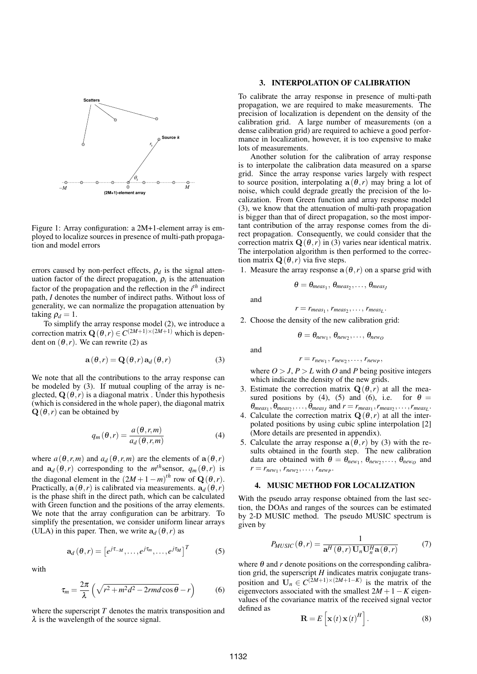

Figure 1: Array configuration: a 2M+1-element array is employed to localize sources in presence of multi-path propagation and model errors

errors caused by non-perfect effects,  $\rho_d$  is the signal attenuation factor of the direct propagation,  $\rho_i$  is the attenuation factor of the propagation and the reflection in the *i th* indirect path, *I* denotes the number of indirect paths. Without loss of generality, we can normalize the propagation attenuation by taking  $\rho_d = 1$ .

To simplify the array response model (2), we introduce a correction matrix  $\mathbf{Q}(\theta, r) \in C^{(2M+1)\times(2M+1)}$  which is dependent on  $(\theta, r)$ . We can rewrite (2) as

$$
\mathbf{a}(\theta, r) = \mathbf{Q}(\theta, r) \mathbf{a}_d(\theta, r) \tag{3}
$$

We note that all the contributions to the array response can be modeled by (3). If mutual coupling of the array is neglected,  $\mathbf{Q}(\theta, r)$  is a diagonal matrix. Under this hypothesis (which is considered in the whole paper), the diagonal matrix  $\mathbf{Q}(\theta, r)$  can be obtained by

$$
q_m(\theta, r) = \frac{a(\theta, r, m)}{a_d(\theta, r, m)}
$$
(4)

where  $a(\theta, r, m)$  and  $a_d(\theta, r, m)$  are the elements of  $a(\theta, r)$ and  $\mathbf{a}_d(\theta, r)$  corresponding to the  $m<sup>th</sup>$ sensor,  $q_m(\theta, r)$  is the diagonal element in the  $(2M + 1 - m)^{th}$  row of  $\mathbf{Q}(\theta, r)$ . Practically,  $a(\theta, r)$  is calibrated via measurements.  $a_d(\theta, r)$ is the phase shift in the direct path, which can be calculated with Green function and the positions of the array elements. We note that the array configuration can be arbitrary. To simplify the presentation, we consider uniform linear arrays (ULA) in this paper. Then, we write  $a_d$  ( $\theta$ , *r*) as

$$
\mathbf{a}_{d}(\theta, r) = \left[e^{j\tau_{-M}}, \dots, e^{j\tau_{m}}, \dots, e^{j\tau_{M}}\right]^{T}
$$
 (5)

with

$$
\tau_m = \frac{2\pi}{\lambda} \left( \sqrt{r^2 + m^2 d^2 - 2rmd\cos\theta} - r \right) \tag{6}
$$

where the superscript *T* denotes the matrix transposition and  $\lambda$  is the wavelength of the source signal.

# 3. INTERPOLATION OF CALIBRATION

To calibrate the array response in presence of multi-path propagation, we are required to make measurements. The precision of localization is dependent on the density of the calibration grid. A large number of measurements (on a dense calibration grid) are required to achieve a good performance in localization, however, it is too expensive to make lots of measurements.

Another solution for the calibration of array response is to interpolate the calibration data measured on a sparse grid. Since the array response varies largely with respect to source position, interpolating  $a(\theta,r)$  may bring a lot of noise, which could degrade greatly the precision of the localization. From Green function and array response model (3), we know that the attenuation of multi-path propagation is bigger than that of direct propagation, so the most important contribution of the array response comes from the direct propagation. Consequently, we could consider that the correction matrix  $\mathbf{Q}(\theta, r)$  in (3) varies near identical matrix. The interpolation algorithm is then performed to the correction matrix  $\mathbf{Q}(\theta, r)$  via five steps.

1. Measure the array response  $a(\theta, r)$  on a sparse grid with

$$
\theta = \theta_{meas_1}, \theta_{meas_2}, \ldots, \theta_{meas_j}
$$

and

and

 $r = r_{meas_1}, r_{meas_2}, \ldots, r_{meas_L}.$ 

2. Choose the density of the new calibration grid:

$$
\theta = \theta_{new_1}, \theta_{new_2}, \ldots, \theta_{new_O}
$$

$$
r = r_{new_1}, r_{new_2}, \ldots, r_{new_P},
$$

where  $O > J$ ,  $P > L$  with *O* and *P* being positive integers which indicate the density of the new grids.

- 3. Estimate the correction matrix  $\mathbf{Q}(\theta, r)$  at all the measured positions by (4), (5) and (6), i.e. for  $\theta =$  $\theta_{meas_1}, \theta_{meas_2}, \ldots, \theta_{meas_J}$  and  $r = r_{meas_1}, r_{meas_2}, \ldots, r_{meas_L}$ .
- 4. Calculate the correction matrix  $\mathbf{Q}(\theta, r)$  at all the interpolated positions by using cubic spline interpolation [2] (More details are presented in appendix).
- 5. Calculate the array response  $a(\theta,r)$  by (3) with the results obtained in the fourth step. The new calibration data are obtained with  $\theta = \theta_{new_1}, \theta_{new_2}, \dots, \theta_{new_O}$  and  $r = r_{new_1}, r_{new_2}, \ldots, r_{new_P}.$

## 4. MUSIC METHOD FOR LOCALIZATION

With the pseudo array response obtained from the last section, the DOAs and ranges of the sources can be estimated by 2-D MUSIC method. The pseudo MUSIC spectrum is given by

$$
P_{MUSIC}(\theta, r) = \frac{1}{\mathbf{a}^H(\theta, r) \mathbf{U}_n \mathbf{U}_n^H \mathbf{a}(\theta, r)}
$$
(7)

where  $\theta$  and *r* denote positions on the corresponding calibration grid, the superscript *H* indicates matrix conjugate transposition and  $\mathbf{U}_n \in C^{(2M+1)\times(2M+1-K)}$  is the matrix of the eigenvectors associated with the smallest  $2M + 1 - K$  eigenvalues of the covariance matrix of the received signal vector defined as

$$
\mathbf{R} = E\left[\mathbf{x}(t)\mathbf{x}(t)^H\right].
$$
 (8)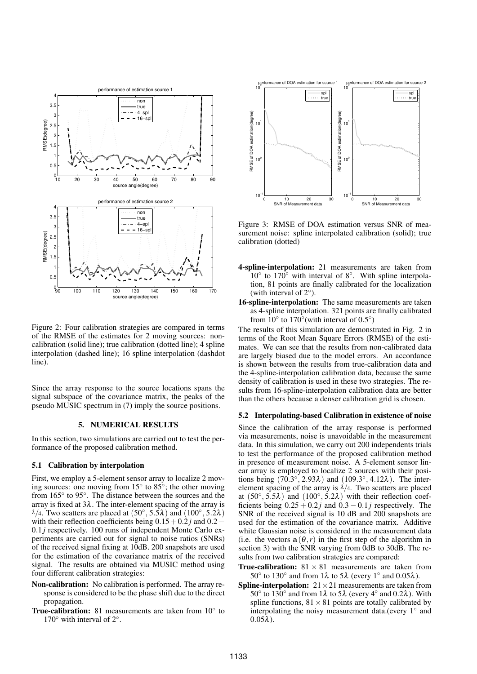

Figure 2: Four calibration strategies are compared in terms of the RMSE of the estimates for 2 moving sources: noncalibration (solid line); true calibration (dotted line); 4 spline interpolation (dashed line); 16 spline interpolation (dashdot line).

Since the array response to the source locations spans the signal subspace of the covariance matrix, the peaks of the pseudo MUSIC spectrum in (7) imply the source positions.

## 5. NUMERICAL RESULTS

In this section, two simulations are carried out to test the performance of the proposed calibration method.

#### 5.1 Calibration by interpolation

First, we employ a 5-element sensor array to localize 2 moving sources: one moving from 15 $\degree$  to 85 $\degree$ ; the other moving from 165° to 95°. The distance between the sources and the array is fixed at  $3\lambda$ . The inter-element spacing of the array is  $\lambda/4$ . Two scatters are placed at  $(50^{\circ}, 5.5\lambda)$  and  $(100^{\circ}, 5.2\lambda)$ with their reflection coefficients being  $0.15+0.2j$  and  $0.2−$ 0.1 *j* respectively. 100 runs of independent Monte Carlo experiments are carried out for signal to noise ratios (SNRs) of the received signal fixing at 10dB. 200 snapshots are used for the estimation of the covariance matrix of the received signal. The results are obtained via MUSIC method using four different calibration strategies:

- Non-calibration: No calibration is performed. The array response is considered to be the phase shift due to the direct propagation.
- True-calibration: 81 measurements are taken from 10° to 170 $\degree$  with interval of 2 $\degree$ .



Figure 3: RMSE of DOA estimation versus SNR of measurement noise: spline interpolated calibration (solid); true calibration (dotted)

- 4-spline-interpolation: 21 measurements are taken from 10◦ to 170◦ with interval of 8◦ . With spline interpolation, 81 points are finally calibrated for the localization (with interval of  $2^\circ$ ).
- 16-spline-interpolation: The same measurements are taken as 4-spline interpolation. 321 points are finally calibrated from  $10^\circ$  to  $170^\circ$  (with interval of 0.5°)

The results of this simulation are demonstrated in Fig. 2 in terms of the Root Mean Square Errors (RMSE) of the estimates. We can see that the results from non-calibrated data are largely biased due to the model errors. An accordance is shown between the results from true-calibration data and the 4-spline-interpolation calibration data, because the same density of calibration is used in these two strategies. The results from 16-spline-interpolation calibration data are better than the others because a denser calibration grid is chosen.

#### 5.2 Interpolating-based Calibration in existence of noise

Since the calibration of the array response is performed via measurements, noise is unavoidable in the measurement data. In this simulation, we carry out 200 independents trials to test the performance of the proposed calibration method in presence of measurement noise. A 5-element sensor linear array is employed to localize 2 sources with their positions being  $(70.3^{\circ}, 2.93\lambda)$  and  $(109.3^{\circ}, 4.12\lambda)$ . The interelement spacing of the array is  $\lambda/4$ . Two scatters are placed at  $(50^\circ, 5.5\lambda)$  and  $(100^\circ, 5.2\lambda)$  with their reflection coefficients being  $0.25 + 0.2j$  and  $0.3 - 0.1j$  respectively. The SNR of the received signal is 10 dB and 200 snapshots are used for the estimation of the covariance matrix. Additive white Gaussian noise is considered in the measurement data (i.e. the vectors  $a(\theta, r)$  in the first step of the algorithm in section 3) with the SNR varying from 0dB to 30dB. The results from two calibration strategies are compared:

- **True-calibration:**  $81 \times 81$  measurements are taken from 50° to 130° and from 1λ to 5λ (every 1° and 0.05λ).
- **Spline-interpolation:**  $21 \times 21$  measurements are taken from 50° to 130° and from 1λ to 5λ (every 4° and 0.2λ). With spline functions,  $81 \times 81$  points are totally calibrated by interpolating the noisy measurement data.(every 1° and  $0.05\lambda$ ).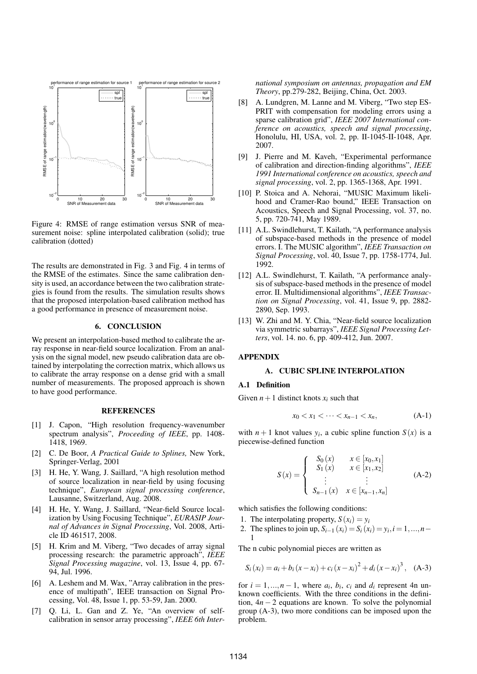

Figure 4: RMSE of range estimation versus SNR of measurement noise: spline interpolated calibration (solid); true calibration (dotted)

The results are demonstrated in Fig. 3 and Fig. 4 in terms of the RMSE of the estimates. Since the same calibration density is used, an accordance between the two calibration strategies is found from the results. The simulation results shows that the proposed interpolation-based calibration method has a good performance in presence of measurement noise.

#### 6. CONCLUSION

We present an interpolation-based method to calibrate the array response in near-field source localization. From an analysis on the signal model, new pseudo calibration data are obtained by interpolating the correction matrix, which allows us to calibrate the array response on a dense grid with a small number of measurements. The proposed approach is shown to have good performance.

#### **REFERENCES**

- [1] J. Capon, "High resolution frequency-wavenumber spectrum analysis", *Proceeding of IEEE*, pp. 1408- 1418, 1969.
- [2] C. De Boor, *A Practical Guide to Splines,* New York, Springer-Verlag, 2001
- [3] H. He, Y. Wang*,* J. Saillard, "A high resolution method of source localization in near-field by using focusing technique", *European signal processing conference*, Lausanne, Switzerland, Aug. 2008.
- [4] H. He, Y. Wang, J. Saillard, "Near-field Source localization by Using Focusing Technique", *EURASIP Journal of Advances in Signal Processing*, Vol. 2008, Article ID 461517, 2008.
- [5] H. Krim and M. Viberg, "Two decades of array signal processing research: the parametric approach", *IEEE Signal Processing magazine*, vol. 13, Issue 4, pp. 67- 94, Jul. 1996.
- [6] A. Leshem and M. Wax, "Array calibration in the presence of multipath", IEEE transaction on Signal Processing, Vol. 48, Issue 1, pp. 53-59, Jan. 2000.
- [7] Q. Li, L. Gan and Z. Ye, "An overview of selfcalibration in sensor array processing", *IEEE 6th Inter-*

*national symposium on antennas, propagation and EM Theory*, pp.279-282, Beijing, China, Oct. 2003.

- [8] A. Lundgren, M. Lanne and M. Viberg, "Two step ES-PRIT with compensation for modeling errors using a sparse calibration grid", *IEEE 2007 International conference on acoustics, speech and signal processing*, Honolulu, HI, USA, vol. 2, pp. II-1045-II-1048, Apr. 2007.
- [9] J. Pierre and M. Kaveh, "Experimental performance of calibration and direction-finding algorithms", *IEEE 1991 International conference on acoustics, speech and signal processing*, vol. 2, pp. 1365-1368, Apr. 1991.
- [10] P. Stoica and A. Nehorai, "MUSIC Maximum likelihood and Cramer-Rao bound," IEEE Transaction on Acoustics, Speech and Signal Processing, vol. 37, no. 5, pp. 720-741, May 1989.
- [11] A.L. Swindlehurst, T. Kailath, "A performance analysis of subspace-based methods in the presence of model errors. I. The MUSIC algorithm", *IEEE Transaction on Signal Processing*, vol. 40, Issue 7, pp. 1758-1774, Jul. 1992.
- [12] A.L. Swindlehurst, T. Kailath, "A performance analysis of subspace-based methods in the presence of model error. II. Multidimensional algorithms", *IEEE Transaction on Signal Processing*, vol. 41, Issue 9, pp. 2882- 2890, Sep. 1993.
- [13] W. Zhi and M. Y. Chia, "Near-field source localization via symmetric subarrays", *IEEE Signal Processing Letters*, vol. 14. no. 6, pp. 409-412, Jun. 2007.

#### APPENDIX

#### A. CUBIC SPLINE INTERPOLATION

#### A.1 Definition

Given  $n+1$  distinct knots  $x_i$  such that

$$
x_0 < x_1 < \dots < x_{n-1} < x_n, \tag{A-1}
$$

with  $n+1$  knot values  $y_i$ , a cubic spline function  $S(x)$  is a piecewise-defined function

$$
S(x) = \begin{cases} S_0(x) & x \in [x_0, x_1] \\ S_1(x) & x \in [x_1, x_2] \\ \vdots & \vdots \\ S_{n-1}(x) & x \in [x_{n-1}, x_n] \end{cases}
$$
(A-2)

which satisfies the following conditions:

- 1. The interpolating property,  $S(x_i) = y_i$
- 2. The splines to join up,  $S_{i-1}(x_i) = S_i(x_i) = y_i, i = 1, ..., n-$ 1

The n cubic polynomial pieces are written as

$$
S_i(x_i) = a_i + b_i(x - x_i) + c_i(x - x_i)^2 + d_i(x - x_i)^3, \quad (A-3)
$$

for  $i = 1, \ldots, n - 1$ , where  $a_i, b_i, c_i$  and  $d_i$  represent 4n unknown coefficients. With the three conditions in the definition, 4*n* − 2 equations are known. To solve the polynomial group (A-3), two more conditions can be imposed upon the problem.